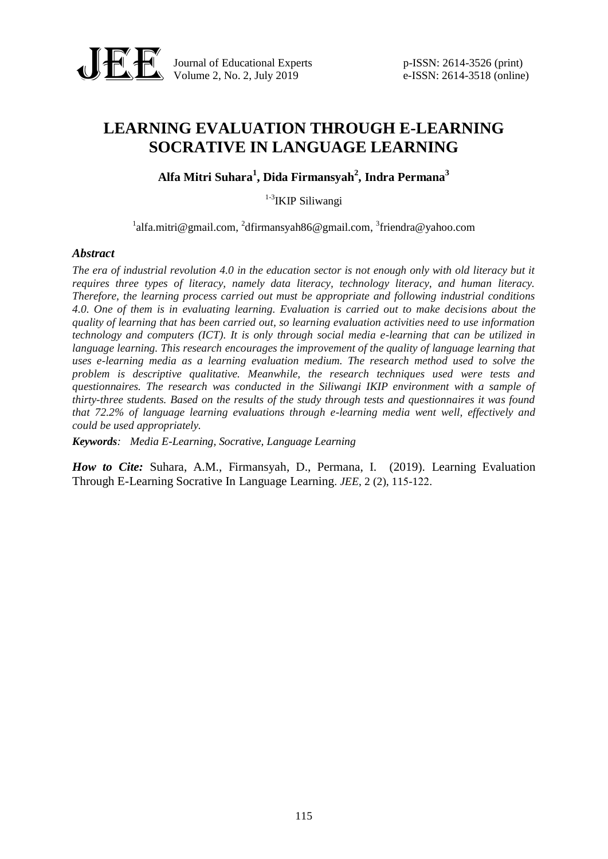

Journal of Educational Experts p-ISSN: 2614-3526 (print) Volume 2, No. 2, July 2019 e-ISSN: 2614-3518 (online)

# **LEARNING EVALUATION THROUGH E-LEARNING SOCRATIVE IN LANGUAGE LEARNING**

**Alfa Mitri Suhara<sup>1</sup> , Dida Firmansyah<sup>2</sup> , Indra Permana<sup>3</sup>**

<sup>1-3</sup>IKIP Siliwangi

<sup>1</sup>[alfa.mitri@gmail.com,](mailto:email-penulis-1@ymail.com) <sup>2</sup>dfirmansyah86@gmail.com, <sup>3</sup>friendra@yahoo.com

#### *Abstract*

*The era of industrial revolution 4.0 in the education sector is not enough only with old literacy but it requires three types of literacy, namely data literacy, technology literacy, and human literacy. Therefore, the learning process carried out must be appropriate and following industrial conditions 4.0. One of them is in evaluating learning. Evaluation is carried out to make decisions about the quality of learning that has been carried out, so learning evaluation activities need to use information technology and computers (ICT). It is only through social media e-learning that can be utilized in language learning. This research encourages the improvement of the quality of language learning that uses e-learning media as a learning evaluation medium. The research method used to solve the problem is descriptive qualitative. Meanwhile, the research techniques used were tests and questionnaires. The research was conducted in the Siliwangi IKIP environment with a sample of thirty-three students. Based on the results of the study through tests and questionnaires it was found that 72.2% of language learning evaluations through e-learning media went well, effectively and could be used appropriately.*

*Keywords: Media E-Learning, Socrative, Language Learning*

*How to Cite:* Suhara, A.M., Firmansyah, D., Permana, I. (2019). Learning Evaluation Through E-Learning Socrative In Language Learning. *JEE*, 2 (2), 115-122.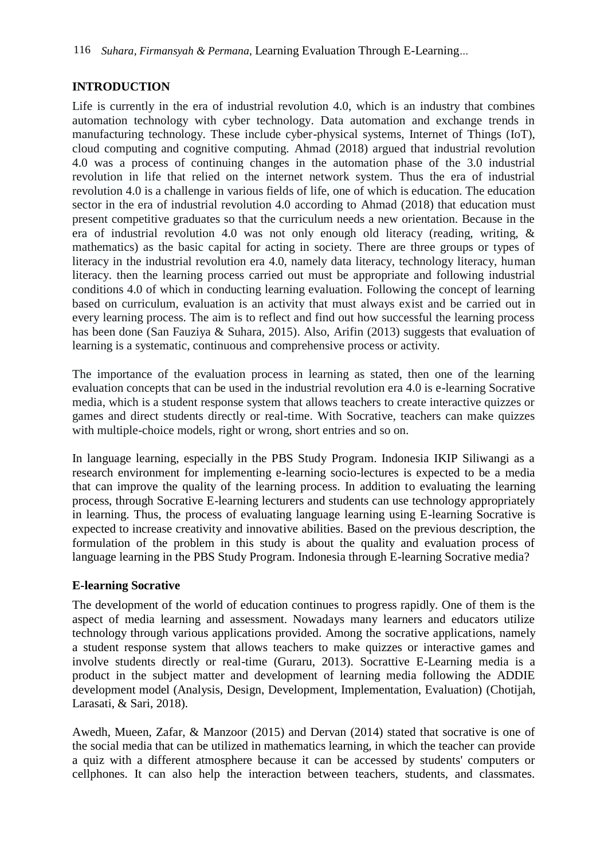# **INTRODUCTION**

Life is currently in the era of industrial revolution 4.0, which is an industry that combines automation technology with cyber technology. Data automation and exchange trends in manufacturing technology. These include cyber-physical systems, Internet of Things (IoT), cloud computing and cognitive computing. Ahmad (2018) argued that industrial revolution 4.0 was a process of continuing changes in the automation phase of the 3.0 industrial revolution in life that relied on the internet network system. Thus the era of industrial revolution 4.0 is a challenge in various fields of life, one of which is education. The education sector in the era of industrial revolution 4.0 according to Ahmad (2018) that education must present competitive graduates so that the curriculum needs a new orientation. Because in the era of industrial revolution 4.0 was not only enough old literacy (reading, writing, & mathematics) as the basic capital for acting in society. There are three groups or types of literacy in the industrial revolution era 4.0, namely data literacy, technology literacy, human literacy. then the learning process carried out must be appropriate and following industrial conditions 4.0 of which in conducting learning evaluation. Following the concept of learning based on curriculum, evaluation is an activity that must always exist and be carried out in every learning process. The aim is to reflect and find out how successful the learning process has been done (San Fauziya & Suhara, 2015). Also, Arifin (2013) suggests that evaluation of learning is a systematic, continuous and comprehensive process or activity.

The importance of the evaluation process in learning as stated, then one of the learning evaluation concepts that can be used in the industrial revolution era 4.0 is e-learning Socrative media, which is a student response system that allows teachers to create interactive quizzes or games and direct students directly or real-time. With Socrative, teachers can make quizzes with multiple-choice models, right or wrong, short entries and so on.

In language learning, especially in the PBS Study Program. Indonesia IKIP Siliwangi as a research environment for implementing e-learning socio-lectures is expected to be a media that can improve the quality of the learning process. In addition to evaluating the learning process, through Socrative E-learning lecturers and students can use technology appropriately in learning. Thus, the process of evaluating language learning using E-learning Socrative is expected to increase creativity and innovative abilities. Based on the previous description, the formulation of the problem in this study is about the quality and evaluation process of language learning in the PBS Study Program. Indonesia through E-learning Socrative media?

# **E-learning Socrative**

The development of the world of education continues to progress rapidly. One of them is the aspect of media learning and assessment. Nowadays many learners and educators utilize technology through various applications provided. Among the socrative applications, namely a student response system that allows teachers to make quizzes or interactive games and involve students directly or real-time (Guraru, 2013). Socrattive E-Learning media is a product in the subject matter and development of learning media following the ADDIE development model (Analysis, Design, Development, Implementation, Evaluation) (Chotijah, Larasati, & Sari, 2018).

Awedh, Mueen, Zafar, & Manzoor (2015) and Dervan (2014) stated that socrative is one of the social media that can be utilized in mathematics learning, in which the teacher can provide a quiz with a different atmosphere because it can be accessed by students' computers or cellphones. It can also help the interaction between teachers, students, and classmates.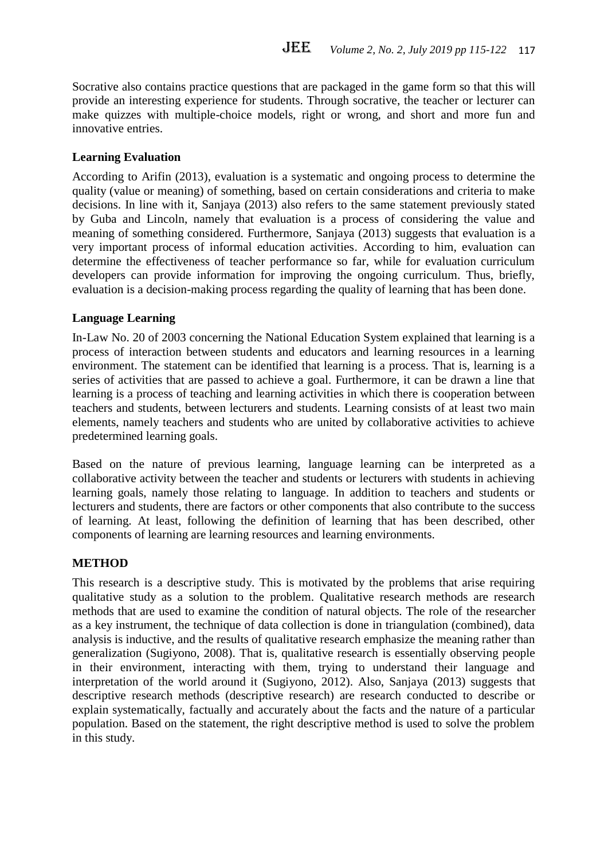Socrative also contains practice questions that are packaged in the game form so that this will provide an interesting experience for students. Through socrative, the teacher or lecturer can make quizzes with multiple-choice models, right or wrong, and short and more fun and innovative entries.

### **Learning Evaluation**

According to Arifin (2013), evaluation is a systematic and ongoing process to determine the quality (value or meaning) of something, based on certain considerations and criteria to make decisions. In line with it, Sanjaya (2013) also refers to the same statement previously stated by Guba and Lincoln, namely that evaluation is a process of considering the value and meaning of something considered. Furthermore, Sanjaya (2013) suggests that evaluation is a very important process of informal education activities. According to him, evaluation can determine the effectiveness of teacher performance so far, while for evaluation curriculum developers can provide information for improving the ongoing curriculum. Thus, briefly, evaluation is a decision-making process regarding the quality of learning that has been done.

# **Language Learning**

In-Law No. 20 of 2003 concerning the National Education System explained that learning is a process of interaction between students and educators and learning resources in a learning environment. The statement can be identified that learning is a process. That is, learning is a series of activities that are passed to achieve a goal. Furthermore, it can be drawn a line that learning is a process of teaching and learning activities in which there is cooperation between teachers and students, between lecturers and students. Learning consists of at least two main elements, namely teachers and students who are united by collaborative activities to achieve predetermined learning goals.

Based on the nature of previous learning, language learning can be interpreted as a collaborative activity between the teacher and students or lecturers with students in achieving learning goals, namely those relating to language. In addition to teachers and students or lecturers and students, there are factors or other components that also contribute to the success of learning. At least, following the definition of learning that has been described, other components of learning are learning resources and learning environments.

#### **METHOD**

This research is a descriptive study. This is motivated by the problems that arise requiring qualitative study as a solution to the problem. Qualitative research methods are research methods that are used to examine the condition of natural objects. The role of the researcher as a key instrument, the technique of data collection is done in triangulation (combined), data analysis is inductive, and the results of qualitative research emphasize the meaning rather than generalization (Sugiyono, 2008). That is, qualitative research is essentially observing people in their environment, interacting with them, trying to understand their language and interpretation of the world around it (Sugiyono, 2012). Also, Sanjaya (2013) suggests that descriptive research methods (descriptive research) are research conducted to describe or explain systematically, factually and accurately about the facts and the nature of a particular population. Based on the statement, the right descriptive method is used to solve the problem in this study.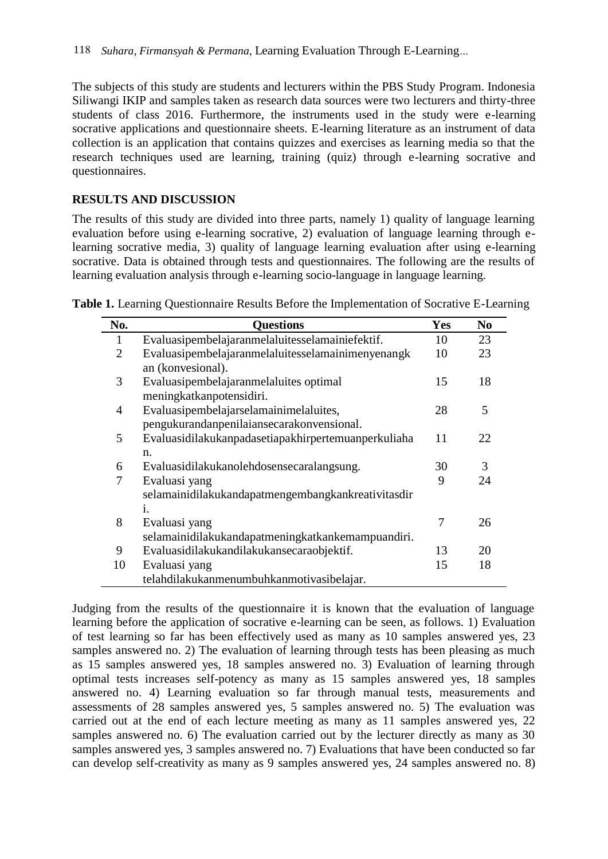The subjects of this study are students and lecturers within the PBS Study Program. Indonesia Siliwangi IKIP and samples taken as research data sources were two lecturers and thirty-three students of class 2016. Furthermore, the instruments used in the study were e-learning socrative applications and questionnaire sheets. E-learning literature as an instrument of data collection is an application that contains quizzes and exercises as learning media so that the research techniques used are learning, training (quiz) through e-learning socrative and questionnaires.

# **RESULTS AND DISCUSSION**

The results of this study are divided into three parts, namely 1) quality of language learning evaluation before using e-learning socrative, 2) evaluation of language learning through elearning socrative media, 3) quality of language learning evaluation after using e-learning socrative. Data is obtained through tests and questionnaires. The following are the results of learning evaluation analysis through e-learning socio-language in language learning.

| No.            | <b>Questions</b>                                                                      | <b>Yes</b> | N <sub>0</sub> |
|----------------|---------------------------------------------------------------------------------------|------------|----------------|
| 1              | Evaluasipembelajaranmelaluitesselamainiefektif.                                       | 10         | 23             |
| $\overline{2}$ | Evaluasipembelajaranmelaluitesselamainimenyenangk<br>an (konvesional).                | 10         | 23             |
| 3              | Evaluasipembelajaranmelaluites optimal<br>meningkatkanpotensidiri.                    | 15         | 18             |
| $\overline{4}$ | Evaluasipembelajarselamainimelaluites,<br>pengukurandanpenilaiansecarakonvensional.   | 28         | 5              |
| 5              | Evaluasidilakukanpadasetiapakhirpertemuanperkuliaha<br>n.                             | 11         | 22             |
| 6              | Evaluasidilakukanolehdosensecaralangsung.                                             | 30         | 3              |
| 7              | Evaluasi yang<br>selamainidilakukandapatmengembangkankreativitasdir<br>$\mathbf{i}$ . | 9          | 24             |
| 8              | Evaluasi yang<br>selamainidilakukandapatmeningkatkankemampuandiri.                    | 7          | 26             |
| 9              | Evaluasidilakukandilakukan secara objektif.                                           | 13         | 20             |
| 10             | Evaluasi yang<br>telahdilakukanmenumbuhkanmotivasibelajar.                            | 15         | 18             |

**Table 1.** Learning Questionnaire Results Before the Implementation of Socrative E-Learning

Judging from the results of the questionnaire it is known that the evaluation of language learning before the application of socrative e-learning can be seen, as follows. 1) Evaluation of test learning so far has been effectively used as many as 10 samples answered yes, 23 samples answered no. 2) The evaluation of learning through tests has been pleasing as much as 15 samples answered yes, 18 samples answered no. 3) Evaluation of learning through optimal tests increases self-potency as many as 15 samples answered yes, 18 samples answered no. 4) Learning evaluation so far through manual tests, measurements and assessments of 28 samples answered yes, 5 samples answered no. 5) The evaluation was carried out at the end of each lecture meeting as many as 11 samples answered yes, 22 samples answered no. 6) The evaluation carried out by the lecturer directly as many as 30 samples answered yes, 3 samples answered no. 7) Evaluations that have been conducted so far can develop self-creativity as many as 9 samples answered yes, 24 samples answered no. 8)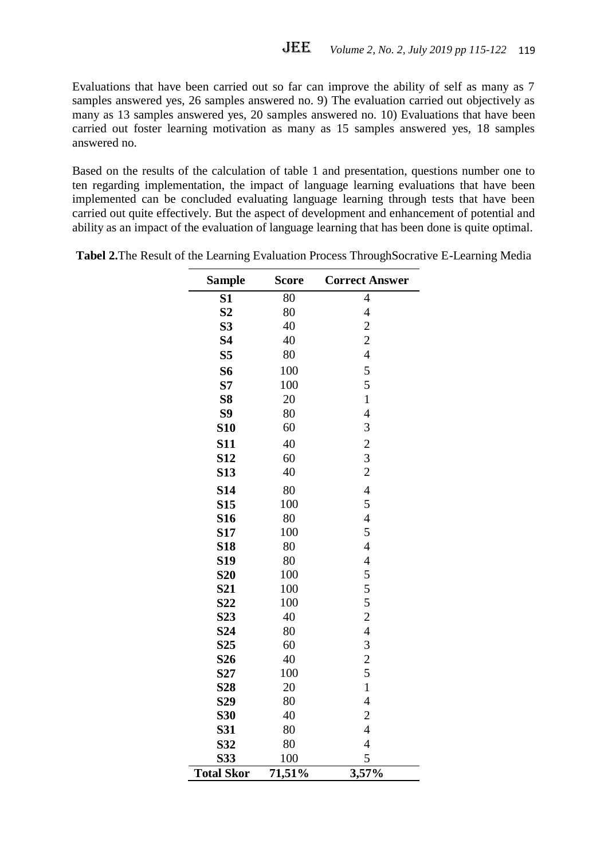Evaluations that have been carried out so far can improve the ability of self as many as 7 samples answered yes, 26 samples answered no. 9) The evaluation carried out objectively as many as 13 samples answered yes, 20 samples answered no. 10) Evaluations that have been carried out foster learning motivation as many as 15 samples answered yes, 18 samples answered no.

Based on the results of the calculation of table 1 and presentation, questions number one to ten regarding implementation, the impact of language learning evaluations that have been implemented can be concluded evaluating language learning through tests that have been carried out quite effectively. But the aspect of development and enhancement of potential and ability as an impact of the evaluation of language learning that has been done is quite optimal.

| <b>Sample</b>     | <b>Score</b>    | <b>Correct Answer</b> |
|-------------------|-----------------|-----------------------|
| S1                | $\overline{80}$ | $\overline{4}$        |
| S <sub>2</sub>    | 80              | $\overline{4}$        |
| S <sub>3</sub>    | 40              | $\overline{c}$        |
| <b>S4</b>         | 40              | $\overline{c}$        |
| S <sub>5</sub>    | 80              | $\overline{4}$        |
| S6                | 100             | 5                     |
| S7                | 100             | 5                     |
| S <sub>8</sub>    | 20              | $\mathbf{1}$          |
| S9                | 80              | $\overline{4}$        |
| <b>S10</b>        | 60              | 3                     |
| <b>S11</b>        | 40              |                       |
| <b>S12</b>        | 60              | $\frac{2}{3}$         |
| <b>S13</b>        | 40              | $\overline{c}$        |
| <b>S14</b>        | 80              | $\overline{4}$        |
| <b>S15</b>        | 100             | 5                     |
| <b>S16</b>        | 80              | $\overline{4}$        |
| <b>S17</b>        | 100             | 5                     |
| <b>S18</b>        | 80              | $\overline{4}$        |
| <b>S19</b>        | 80              | $\overline{4}$        |
| <b>S20</b>        | 100             | 5                     |
| <b>S21</b>        | 100             | 5                     |
| S <sub>22</sub>   | 100             | 5                     |
| S <sub>23</sub>   | 40              | $\overline{c}$        |
| <b>S24</b>        | 80              | $\overline{4}$        |
| S <sub>25</sub>   | 60              | 3                     |
| S <sub>26</sub>   | 40              | $\overline{c}$        |
| S <sub>27</sub>   | 100             | 5                     |
| <b>S28</b>        | 20              | $\mathbf{1}$          |
| S <sub>29</sub>   | 80              | $\overline{4}$        |
| <b>S30</b>        | 40              | $\overline{2}$        |
| S31               | 80              | $\overline{4}$        |
| S32               | 80              | $\overline{4}$        |
| S33               | 100             | 5                     |
| <b>Total Skor</b> | 71,51%          | 3,57%                 |

**Tabel 2.**The Result of the Learning Evaluation Process ThroughSocrative E-Learning Media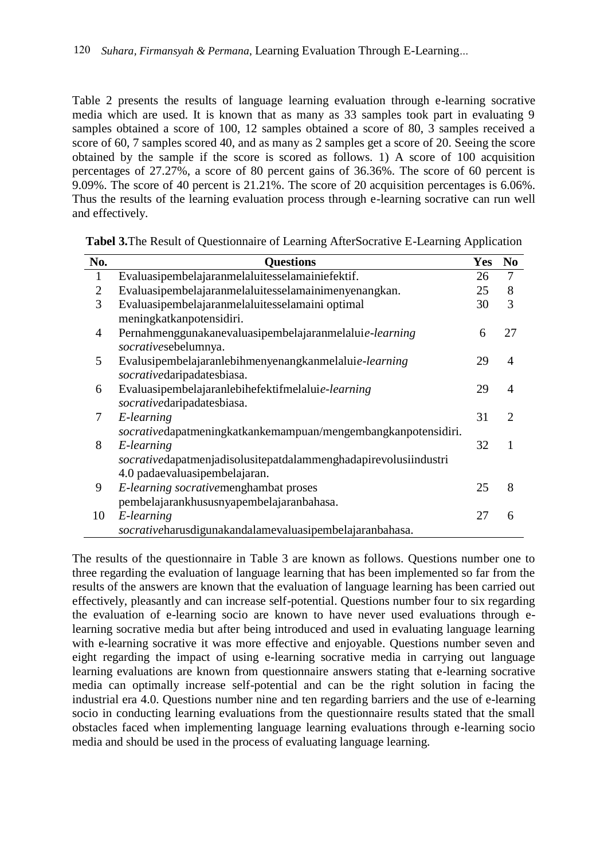Table 2 presents the results of language learning evaluation through e-learning socrative media which are used. It is known that as many as 33 samples took part in evaluating 9 samples obtained a score of 100, 12 samples obtained a score of 80, 3 samples received a score of 60, 7 samples scored 40, and as many as 2 samples get a score of 20. Seeing the score obtained by the sample if the score is scored as follows. 1) A score of 100 acquisition percentages of 27.27%, a score of 80 percent gains of 36.36%. The score of 60 percent is 9.09%. The score of 40 percent is 21.21%. The score of 20 acquisition percentages is 6.06%. Thus the results of the learning evaluation process through e-learning socrative can run well and effectively.

| No.            | <b>Questions</b>                                                | <b>Yes</b> | N <sub>0</sub> |
|----------------|-----------------------------------------------------------------|------------|----------------|
| $\mathbf{1}$   | Evaluasipembelajaranmelaluitesselamainiefektif.                 | 26         | $\overline{7}$ |
| $\overline{2}$ | Evaluasipembelajaranmelaluitesselamainimenyenangkan.            | 25         | 8              |
| 3              | Evaluasipembelajaranmelaluitesselamaini optimal                 | 30         | 3              |
|                | meningkatkanpotensidiri.                                        |            |                |
| 4              | Pernahmenggunakanevaluasipembelajaranmelaluie-learning          | 6          | 27             |
|                | socrativesebelumnya.                                            |            |                |
| 5              | Evalusipembelajaranlebihmenyenangkanmelaluie-learning           | 29         | $\overline{4}$ |
|                | socrativedaripadatesbiasa.                                      |            |                |
| 6              | Evaluasipembelajaranlebihefektifmelaluie-learning               | 29         | 4              |
|                | socrativedaripadatesbiasa.                                      |            |                |
| 7              | E-learning                                                      | 31         | 2              |
|                | socrativedapatmeningkatkankemampuan/mengembangkanpotensidiri.   |            |                |
| 8              | E-learning                                                      | 32         | 1              |
|                | socrativedapatmenjadisolusitepatdalammenghadapirevolusiindustri |            |                |
|                | 4.0 padaevaluasipembelajaran.                                   |            |                |
| 9              | E-learning socrativemenghambat proses                           | 25         | 8              |
|                | pembelajarankhususnyapembelajaranbahasa.                        |            |                |
| 10             | E-learning                                                      | 27         | 6              |
|                | socrativeharusdigunakandalamevaluasipembelajaranbahasa.         |            |                |

**Tabel 3.**The Result of Questionnaire of Learning AfterSocrative E-Learning Application

The results of the questionnaire in Table 3 are known as follows. Questions number one to three regarding the evaluation of language learning that has been implemented so far from the results of the answers are known that the evaluation of language learning has been carried out effectively, pleasantly and can increase self-potential. Questions number four to six regarding the evaluation of e-learning socio are known to have never used evaluations through elearning socrative media but after being introduced and used in evaluating language learning with e-learning socrative it was more effective and enjoyable. Questions number seven and eight regarding the impact of using e-learning socrative media in carrying out language learning evaluations are known from questionnaire answers stating that e-learning socrative media can optimally increase self-potential and can be the right solution in facing the industrial era 4.0. Questions number nine and ten regarding barriers and the use of e-learning socio in conducting learning evaluations from the questionnaire results stated that the small obstacles faced when implementing language learning evaluations through e-learning socio media and should be used in the process of evaluating language learning.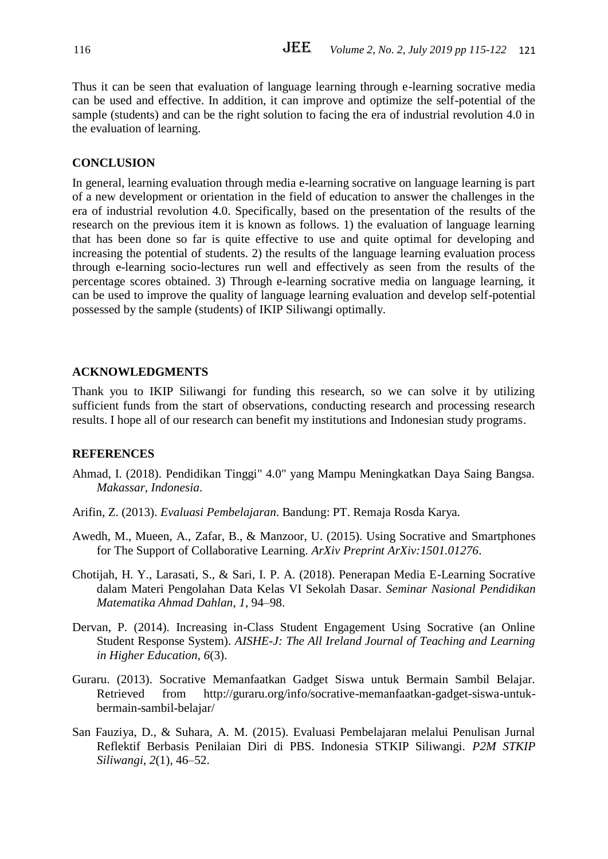Thus it can be seen that evaluation of language learning through e-learning socrative media can be used and effective. In addition, it can improve and optimize the self-potential of the sample (students) and can be the right solution to facing the era of industrial revolution 4.0 in the evaluation of learning.

# **CONCLUSION**

In general, learning evaluation through media e-learning socrative on language learning is part of a new development or orientation in the field of education to answer the challenges in the era of industrial revolution 4.0. Specifically, based on the presentation of the results of the research on the previous item it is known as follows. 1) the evaluation of language learning that has been done so far is quite effective to use and quite optimal for developing and increasing the potential of students. 2) the results of the language learning evaluation process through e-learning socio-lectures run well and effectively as seen from the results of the percentage scores obtained. 3) Through e-learning socrative media on language learning, it can be used to improve the quality of language learning evaluation and develop self-potential possessed by the sample (students) of IKIP Siliwangi optimally.

#### **ACKNOWLEDGMENTS**

Thank you to IKIP Siliwangi for funding this research, so we can solve it by utilizing sufficient funds from the start of observations, conducting research and processing research results. I hope all of our research can benefit my institutions and Indonesian study programs.

#### **REFERENCES**

- Ahmad, I. (2018). Pendidikan Tinggi" 4.0" yang Mampu Meningkatkan Daya Saing Bangsa. *Makassar, Indonesia*.
- Arifin, Z. (2013). *Evaluasi Pembelajaran*. Bandung: PT. Remaja Rosda Karya.
- Awedh, M., Mueen, A., Zafar, B., & Manzoor, U. (2015). Using Socrative and Smartphones for The Support of Collaborative Learning. *ArXiv Preprint ArXiv:1501.01276*.
- Chotijah, H. Y., Larasati, S., & Sari, I. P. A. (2018). Penerapan Media E-Learning Socrative dalam Materi Pengolahan Data Kelas VI Sekolah Dasar. *Seminar Nasional Pendidikan Matematika Ahmad Dahlan*, *1*, 94–98.
- Dervan, P. (2014). Increasing in-Class Student Engagement Using Socrative (an Online Student Response System). *AISHE-J: The All Ireland Journal of Teaching and Learning in Higher Education*, *6*(3).
- Guraru. (2013). Socrative Memanfaatkan Gadget Siswa untuk Bermain Sambil Belajar. Retrieved from http://guraru.org/info/socrative-memanfaatkan-gadget-siswa-untukbermain-sambil-belajar/
- San Fauziya, D., & Suhara, A. M. (2015). Evaluasi Pembelajaran melalui Penulisan Jurnal Reflektif Berbasis Penilaian Diri di PBS. Indonesia STKIP Siliwangi. *P2M STKIP Siliwangi*, *2*(1), 46–52.